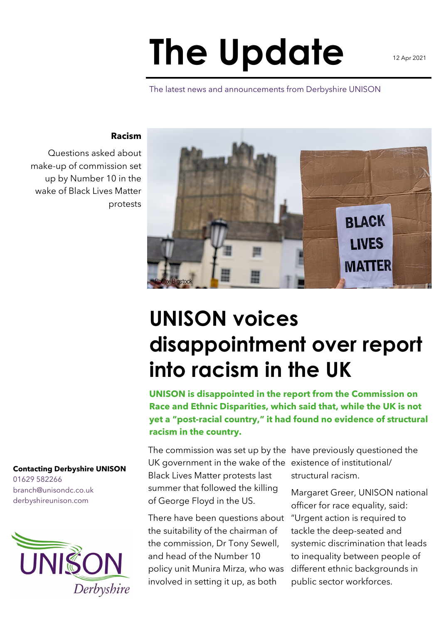## **The Update**

The latest news and announcements from Derbyshire UNISON

## **Racism**

Questions asked about make-up of commission set up by Number 10 in the wake of Black Lives Matter protests

> **UNISON voices disappointment over report into racism in the UK**

**UNISON is disappointed in the report from the Commission on Race and Ethnic Disparities, which said that, while the UK is not yet a "post-racial country," it had found no evidence of structural racism in the country.**

The commission was set up by the have previously questioned the UK government in the wake of the existence of institutional/ Black Lives Matter protests last summer that followed the killing of George Floyd in the US.

There have been questions about the suitability of the chairman of the commission, Dr Tony Sewell, and head of the Number 10 policy unit Munira Mirza, who was involved in setting it up, as both

structural racism.

Margaret Greer, UNISON national officer for race equality, said: "Urgent action is required to tackle the deep-seated and systemic discrimination that leads to inequality between people of different ethnic backgrounds in public sector workforces.

## **Contacting Derbyshire UNISON**

01629 582266 branch@unisondc.co.uk derbyshireunison.com